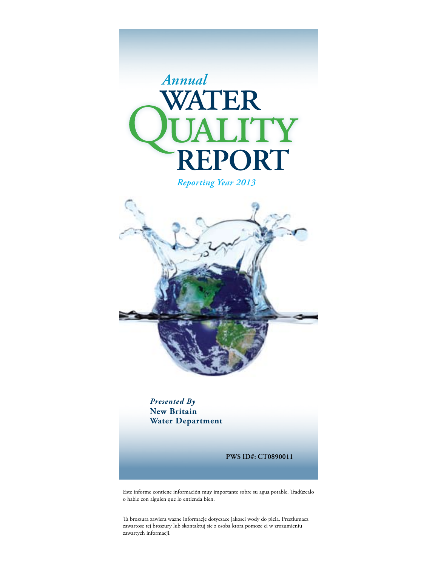

*Reporting Year 2013*



*Presented By* **New Britain Water Department**

**PWS ID#: CT0890011**

Este informe contiene información muy importante sobre su agua potable. Tradúzcalo o hable con alguien que lo entienda bien.

Ta broszura zawiera wazne informacje dotyczace jakosci wody do picia. Przetlumacz zawartosc tej broszury lub skontaktuj sie z osoba ktora pomoze ci w zrozumieniu zawartych informacji.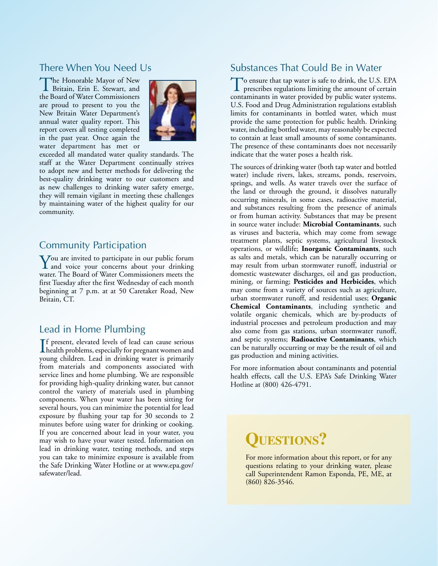# There When You Need Us

The Honorable Mayor of New Britain, Erin E. Stewart, and the Board of Water Commissioners are proud to present to you the New Britain Water Department's annual water quality report. This report covers all testing completed in the past year. Once again the water department has met or



exceeded all mandated water quality standards. The staff at the Water Department continually strives to adopt new and better methods for delivering the best-quality drinking water to our customers and as new challenges to drinking water safety emerge, they will remain vigilant in meeting these challenges by maintaining water of the highest quality for our community.

### Community Participation

You are invited to participate in our public forum<br>and voice your concerns about your drinking water. The Board of Water Commissioners meets the first Tuesday after the first Wednesday of each month beginning at 7 p.m. at at 50 Caretaker Road, New Britain, CT.

# Lead in Home Plumbing

I health problems, especially for pregnant women and f present, elevated levels of lead can cause serious young children. Lead in drinking water is primarily from materials and components associated with service lines and home plumbing. We are responsible for providing high-quality drinking water, but cannot control the variety of materials used in plumbing components. When your water has been sitting for several hours, you can minimize the potential for lead exposure by flushing your tap for 30 seconds to 2 minutes before using water for drinking or cooking. If you are concerned about lead in your water, you may wish to have your water tested. Information on lead in drinking water, testing methods, and steps you can take to minimize exposure is available from the Safe Drinking Water Hotline or at www.epa.gov/ safewater/lead.

# Substances That Could Be in Water

To ensure that tap water is safe to drink, the U.S. EPA prescribes regulations limiting the amount of certain contaminants in water provided by public water systems. U.S. Food and Drug Administration regulations establish limits for contaminants in bottled water, which must provide the same protection for public health. Drinking water, including bottled water, may reasonably be expected to contain at least small amounts of some contaminants. The presence of these contaminants does not necessarily indicate that the water poses a health risk.

The sources of drinking water (both tap water and bottled water) include rivers, lakes, streams, ponds, reservoirs, springs, and wells. As water travels over the surface of the land or through the ground, it dissolves naturally occurring minerals, in some cases, radioactive material, and substances resulting from the presence of animals or from human activity. Substances that may be present in source water include: **Microbial Contaminants**, such as viruses and bacteria, which may come from sewage treatment plants, septic systems, agricultural livestock operations, or wildlife; **Inorganic Contaminants**, such as salts and metals, which can be naturally occurring or may result from urban stormwater runoff, industrial or domestic wastewater discharges, oil and gas production, mining, or farming; **Pesticides and Herbicides**, which may come from a variety of sources such as agriculture, urban stormwater runoff, and residential uses; **Organic Chemical Contaminants**, including synthetic and volatile organic chemicals, which are by-products of industrial processes and petroleum production and may also come from gas stations, urban stormwater runoff, and septic systems; **Radioactive Contaminants**, which can be naturally occurring or may be the result of oil and gas production and mining activities.

For more information about contaminants and potential health effects, call the U.S. EPA's Safe Drinking Water Hotline at (800) 426-4791.

# **QUESTIONS?**

For more information about this report, or for any questions relating to your drinking water, please call Superintendent Ramon Esponda, PE, ME, at (860) 826-3546.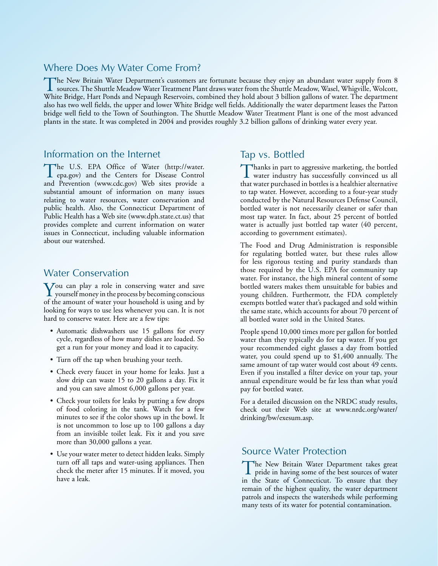#### Where Does My Water Come From?

The New Britain Water Department's customers are fortunate because they enjoy an abundant water supply from 8 sources. The Shuttle Meadow Water Treatment Plant draws water from the Shuttle Meadow, Wasel, Whigville, Wolcott White Bridge, Hart Ponds and Nepaugh Reservoirs, combined they hold about 3 billion gallons of water. The department also has two well fields, the upper and lower White Bridge well fields. Additionally the water department leases the Patton bridge well field to the Town of Southington. The Shuttle Meadow Water Treatment Plant is one of the most advanced plants in the state. It was completed in 2004 and provides roughly 3.2 billion gallons of drinking water every year.

### Information on the Internet

The U.S. EPA Office of Water (http://water.<br>
epa.gov) and the Centers for Disease Control and Prevention (www.cdc.gov) Web sites provide a substantial amount of information on many issues relating to water resources, water conservation and public health. Also, the Connecticut Department of Public Health has a Web site (www.dph.state.ct.us) that provides complete and current information on water issues in Connecticut, including valuable information about our watershed.

#### Water Conservation

 $\sum$  ou can play a role in conserving water and save yourself money in the process by becoming conscious of the amount of water your household is using and by looking for ways to use less whenever you can. It is not hard to conserve water. Here are a few tips:

- Automatic dishwashers use 15 gallons for every cycle, regardless of how many dishes are loaded. So get a run for your money and load it to capacity.
- Turn off the tap when brushing your teeth.
- Check every faucet in your home for leaks. Just a slow drip can waste 15 to 20 gallons a day. Fix it and you can save almost 6,000 gallons per year.
- Check your toilets for leaks by putting a few drops of food coloring in the tank. Watch for a few minutes to see if the color shows up in the bowl. It is not uncommon to lose up to 100 gallons a day from an invisible toilet leak. Fix it and you save more than 30,000 gallons a year.
- Use your water meter to detect hidden leaks. Simply turn off all taps and water-using appliances. Then check the meter after 15 minutes. If it moved, you have a leak.

# Tap vs. Bottled

Thanks in part to aggressive marketing, the bottled water industry has successfully convinced us all that water purchased in bottles is a healthier alternative to tap water. However, according to a four-year study conducted by the Natural Resources Defense Council, bottled water is not necessarily cleaner or safer than most tap water. In fact, about 25 percent of bottled water is actually just bottled tap water (40 percent, according to government estimates).

The Food and Drug Administration is responsible for regulating bottled water, but these rules allow for less rigorous testing and purity standards than those required by the U.S. EPA for community tap water. For instance, the high mineral content of some bottled waters makes them unsuitable for babies and young children. Furthermotr, the FDA completely exempts bottled water that's packaged and sold within the same state, which accounts for about 70 percent of all bottled water sold in the United States.

People spend 10,000 times more per gallon for bottled water than they typically do for tap water. If you get your recommended eight glasses a day from bottled water, you could spend up to \$1,400 annually. The same amount of tap water would cost about 49 cents. Even if you installed a filter device on your tap, your annual expenditure would be far less than what you'd pay for bottled water.

For a detailed discussion on the NRDC study results, check out their Web site at www.nrdc.org/water/ drinking/bw/exesum.asp.

#### Source Water Protection

The New Britain Water Department takes great pride in having some of the best sources of water in the State of Connecticut. To ensure that they remain of the highest quality, the water department patrols and inspects the watersheds while performing many tests of its water for potential contamination.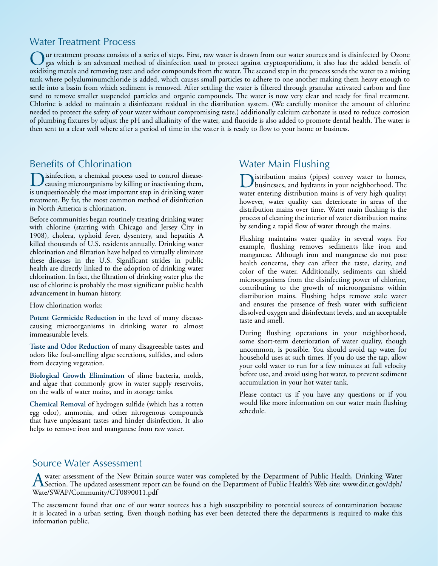# Water Treatment Process

ur treatment process consists of a series of steps. First, raw water is drawn from our water sources and is disinfected by Ozone gas which is an advanced method of disinfection used to protect against cryptosporidium, it also has the added benefit of oxidizing metals and removing taste and odor compounds from the water. The second step in the process sends the water to a mixing tank where polyaluminumchloride is added, which causes small particles to adhere to one another making them heavy enough to settle into a basin from which sediment is removed. After settling the water is filtered through granular activated carbon and fine sand to remove smaller suspended particles and organic compounds. The water is now very clear and ready for final treatment. Chlorine is added to maintain a disinfectant residual in the distribution system. (We carefully monitor the amount of chlorine needed to protect the safety of your water without compromising taste.) additionally calcium carbonate is used to reduce corrosion of plumbing fixtures by adjust the pH and alkalinity of the water, and fluoride is also added to promote dental health. The water is then sent to a clear well where after a period of time in the water it is ready to flow to your home or business.

# Benefits of Chlorination

Disinfection, a chemical process used to control disease-causing microorganisms by killing or inactivating them, is unquestionably the most important step in drinking water treatment. By far, the most common method of disinfection in North America is chlorination.

Before communities began routinely treating drinking water with chlorine (starting with Chicago and Jersey City in 1908), cholera, typhoid fever, dysentery, and hepatitis A killed thousands of U.S. residents annually. Drinking water chlorination and filtration have helped to virtually eliminate these diseases in the U.S. Significant strides in public health are directly linked to the adoption of drinking water chlorination. In fact, the filtration of drinking water plus the use of chlorine is probably the most significant public health advancement in human history.

How chlorination works:

**Potent Germicide Reduction** in the level of many diseasecausing microorganisms in drinking water to almost immeasurable levels.

**Taste and Odor Reduction** of many disagreeable tastes and odors like foul-smelling algae secretions, sulfides, and odors from decaying vegetation.

**Biological Growth Elimination** of slime bacteria, molds, and algae that commonly grow in water supply reservoirs, on the walls of water mains, and in storage tanks.

**Chemical Removal** of hydrogen sulfide (which has a rotten egg odor), ammonia, and other nitrogenous compounds that have unpleasant tastes and hinder disinfection. It also helps to remove iron and manganese from raw water.

# Water Main Flushing

Distribution mains (pipes) convey water to homes, businesses, and hydrants in your neighborhood. The water entering distribution mains is of very high quality; however, water quality can deteriorate in areas of the distribution mains over time. Water main flushing is the process of cleaning the interior of water distribution mains by sending a rapid flow of water through the mains.

Flushing maintains water quality in several ways. For example, flushing removes sediments like iron and manganese. Although iron and manganese do not pose health concerns, they can affect the taste, clarity, and color of the water. Additionally, sediments can shield microorganisms from the disinfecting power of chlorine, contributing to the growth of microorganisms within distribution mains. Flushing helps remove stale water and ensures the presence of fresh water with sufficient dissolved oxygen and disinfectant levels, and an acceptable taste and smell.

During flushing operations in your neighborhood, some short-term deterioration of water quality, though uncommon, is possible. You should avoid tap water for household uses at such times. If you do use the tap, allow your cold water to run for a few minutes at full velocity before use, and avoid using hot water, to prevent sediment accumulation in your hot water tank.

Please contact us if you have any questions or if you would like more information on our water main flushing schedule.

### Source Water Assessment

A water assessment of the New Britain source water was completed by the Department of Public Health, Drinking Water<br>Section. The updated assessment report can be found on the Department of Public Health's Web site: www.dir Wate/SWAP/Community/CT0890011.pdf

The assessment found that one of our water sources has a high susceptibility to potential sources of contamination because it is located in a urban setting. Even though nothing has ever been detected there the departments is required to make this information public.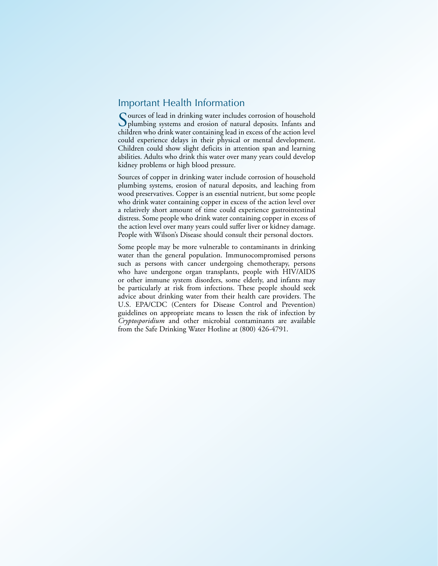### Important Health Information

Sources of lead in drinking water includes corrosion of household plumbing systems and erosion of natural deposits. Infants and children who drink water containing lead in excess of the action level could experience delays in their physical or mental development. Children could show slight deficits in attention span and learning abilities. Adults who drink this water over many years could develop kidney problems or high blood pressure.

Sources of copper in drinking water include corrosion of household plumbing systems, erosion of natural deposits, and leaching from wood preservatives. Copper is an essential nutrient, but some people who drink water containing copper in excess of the action level over a relatively short amount of time could experience gastrointestinal distress. Some people who drink water containing copper in excess of the action level over many years could suffer liver or kidney damage. People with Wilson's Disease should consult their personal doctors.

Some people may be more vulnerable to contaminants in drinking water than the general population. Immunocompromised persons such as persons with cancer undergoing chemotherapy, persons who have undergone organ transplants, people with HIV/AIDS or other immune system disorders, some elderly, and infants may be particularly at risk from infections. These people should seek advice about drinking water from their health care providers. The U.S. EPA/CDC (Centers for Disease Control and Prevention) guidelines on appropriate means to lessen the risk of infection by *Cryptosporidium* and other microbial contaminants are available from the Safe Drinking Water Hotline at (800) 426-4791.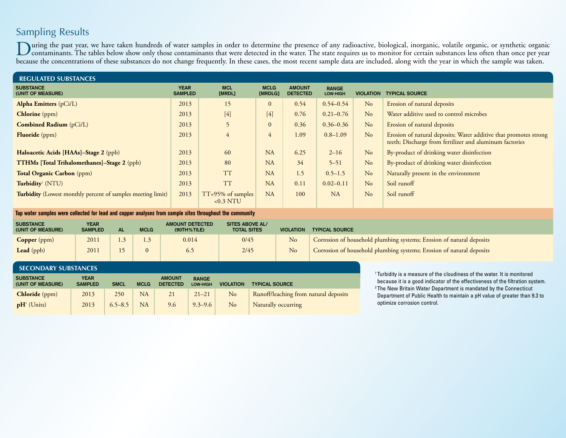# Sampling Results

During the past year, we have taken hundreds of water samples in order to determine the presence of any radioactive, biological, inorganic, volatile organic, or synthetic organic organic organic organic organic organic org because the concentrations of these substances do not change frequently. In these cases, the most recent sample data are included, along with the year in which the sample was taken.

| <b>REGULATED SUBSTANCES</b>                                        |                               |                                  |                        |                                  |                          |                  |                                                                                                                             |
|--------------------------------------------------------------------|-------------------------------|----------------------------------|------------------------|----------------------------------|--------------------------|------------------|-----------------------------------------------------------------------------------------------------------------------------|
| <b>SUBSTANCE</b><br>(UNIT OF MEASURE)                              | <b>YEAR</b><br><b>SAMPLED</b> | <b>MCL</b><br>[MRDL]             | <b>MCLG</b><br>[MRDLG] | <b>AMOUNT</b><br><b>DETECTED</b> | <b>RANGE</b><br>LOW-HIGH | <b>VIOLATION</b> | <b>TYPICAL SOURCE</b>                                                                                                       |
| <b>Alpha Emitters</b> (pCi/L)                                      | 2013                          | 15                               | $\theta$               | 0.54                             | $0.54 - 0.54$            | N <sub>o</sub>   | Erosion of natural deposits                                                                                                 |
| <b>Chlorine</b> (ppm)                                              | 2013                          | $[4]$                            | $[4]$                  | 0.76                             | $0.21 - 0.76$            | No               | Water additive used to control microbes                                                                                     |
| <b>Combined Radium</b> (pCi/L)                                     | 2013                          | 5                                | $\Omega$               | 0.36                             | $0.36 - 0.36$            | N <sub>o</sub>   | Erosion of natural deposits                                                                                                 |
| <b>Fluoride</b> (ppm)                                              | 2013                          | 4                                | 4                      | 1.09                             | $0.8 - 1.09$             | No               | Erosion of natural deposits; Water additive that promotes strong<br>teeth; Discharge from fertilizer and aluminum factories |
| Haloacetic Acids [HAAs]-Stage 2 (ppb)                              | 2013                          | 60                               | <b>NA</b>              | 6.25                             | $2 - 16$                 | N <sub>o</sub>   | By-product of drinking water disinfection                                                                                   |
| <b>TTHMs</b> [Total Trihalomethanes]-Stage 2 (ppb)                 | 2013                          | 80                               | <b>NA</b>              | 34                               | $5 - 51$                 | N <sub>o</sub>   | By-product of drinking water disinfection                                                                                   |
| <b>Total Organic Carbon</b> (ppm)                                  | 2013                          | <b>TT</b>                        | <b>NA</b>              | 1.5                              | $0.5 - 1.5$              | No               | Naturally present in the environment                                                                                        |
| Turbidity <sup>1</sup> (NTU)                                       | 2013                          | <b>TT</b>                        | <b>NA</b>              | 0.11                             | $0.02 - 0.11$            | No               | Soil runoff                                                                                                                 |
| <b>Turbidity</b> (Lowest monthly percent of samples meeting limit) | 2013                          | TT=95% of samples<br>$< 0.3$ NTU | <b>NA</b>              | 100                              | <b>NA</b>                | N <sub>o</sub>   | Soil runoff                                                                                                                 |

**Tap water samples were collected for lead and copper analyses from sample sites throughout the community**

| <b>SUBSTANCE</b><br>(UNIT OF MEASURE) | <b>YEAR</b><br><b>SAMPLED</b> | <b>AL</b> | <b>MCLG</b> | <b>AMOUNT DETECTED</b><br>$(90TH%$ TILE) | <b>SITES ABOVE AL/</b><br><b>TOTAL SITES</b> | <b>VIOLATION</b> | <b>TYPICAL SOURCE</b>                                                |
|---------------------------------------|-------------------------------|-----------|-------------|------------------------------------------|----------------------------------------------|------------------|----------------------------------------------------------------------|
| <b>Copper</b> (ppm)                   | 201                           |           |             | 0.014                                    | 0/45                                         | No               | Corrosion of household plumbing systems; Erosion of natural deposits |
| Lead (ppb)                            | 2011                          | 15        | $\Omega$    | 6.5                                      | 2/45                                         | No               | Corrosion of household plumbing systems; Erosion of natural deposits |

| <b>SECONDARY SUBSTANCES</b>           |                               |             |             |                                  |                                 |                  |                                       |  |  |
|---------------------------------------|-------------------------------|-------------|-------------|----------------------------------|---------------------------------|------------------|---------------------------------------|--|--|
| <b>SUBSTANCE</b><br>(UNIT OF MEASURE) | <b>YEAR</b><br><b>SAMPLED</b> | <b>SMCL</b> | <b>MCLG</b> | <b>AMOUNT</b><br><b>DETECTED</b> | <b>RANGE</b><br><b>LOW-HIGH</b> | <b>VIOLATION</b> | <b>TYPICAL SOURCE</b>                 |  |  |
| <b>Chloride</b> (ppm)                 | 2013                          | 250         | <b>NA</b>   | 21                               | $21 - 21$                       | $\rm No$         | Runoff/leaching from natural deposits |  |  |
| $\mathbf{p}H^2$ (Units)               | 2013                          | $6.5 - 8.5$ | <b>NA</b>   | 9.6                              | $9.3 - 9.6$                     | N <sub>o</sub>   | Naturally occurring                   |  |  |

1 Turbidity is a measure of the cloudiness of the water. It is monitored because it is a good indicator of the effectiveness of the filtration system. 2 The New Britain Water Department is mandated by the Connecticut Department of Public Health to maintain a pH value of greater than 9.3 to optimize corrosion control.